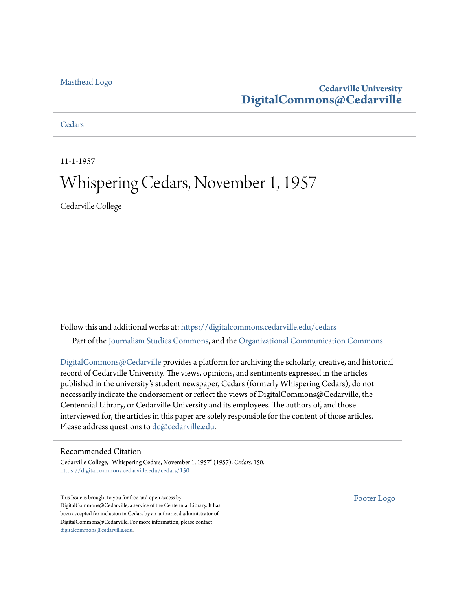### [Masthead Logo](http://www.cedarville.edu/?utm_source=digitalcommons.cedarville.edu%2Fcedars%2F150&utm_medium=PDF&utm_campaign=PDFCoverPages)

## **Cedarville University [DigitalCommons@Cedarville](https://digitalcommons.cedarville.edu?utm_source=digitalcommons.cedarville.edu%2Fcedars%2F150&utm_medium=PDF&utm_campaign=PDFCoverPages)**

### **[Cedars](https://digitalcommons.cedarville.edu/cedars?utm_source=digitalcommons.cedarville.edu%2Fcedars%2F150&utm_medium=PDF&utm_campaign=PDFCoverPages)**

11-1-1957

# Whispering Cedars, November 1, 1957

Cedarville College

Follow this and additional works at: [https://digitalcommons.cedarville.edu/cedars](https://digitalcommons.cedarville.edu/cedars?utm_source=digitalcommons.cedarville.edu%2Fcedars%2F150&utm_medium=PDF&utm_campaign=PDFCoverPages) Part of the [Journalism Studies Commons](http://network.bepress.com/hgg/discipline/333?utm_source=digitalcommons.cedarville.edu%2Fcedars%2F150&utm_medium=PDF&utm_campaign=PDFCoverPages), and the [Organizational Communication Commons](http://network.bepress.com/hgg/discipline/335?utm_source=digitalcommons.cedarville.edu%2Fcedars%2F150&utm_medium=PDF&utm_campaign=PDFCoverPages)

[DigitalCommons@Cedarville](http://digitalcommons.cedarville.edu/) provides a platform for archiving the scholarly, creative, and historical record of Cedarville University. The views, opinions, and sentiments expressed in the articles published in the university's student newspaper, Cedars (formerly Whispering Cedars), do not necessarily indicate the endorsement or reflect the views of DigitalCommons@Cedarville, the Centennial Library, or Cedarville University and its employees. The authors of, and those interviewed for, the articles in this paper are solely responsible for the content of those articles. Please address questions to [dc@cedarville.edu.](mailto:dc@cedarville.edu)

### Recommended Citation

Cedarville College, "Whispering Cedars, November 1, 1957" (1957). *Cedars*. 150. [https://digitalcommons.cedarville.edu/cedars/150](https://digitalcommons.cedarville.edu/cedars/150?utm_source=digitalcommons.cedarville.edu%2Fcedars%2F150&utm_medium=PDF&utm_campaign=PDFCoverPages)

This Issue is brought to you for free and open access by DigitalCommons@Cedarville, a service of the Centennial Library. It has been accepted for inclusion in Cedars by an authorized administrator of DigitalCommons@Cedarville. For more information, please contact [digitalcommons@cedarville.edu](mailto:digitalcommons@cedarville.edu).

[Footer Logo](http://www.cedarville.edu/Academics/Library.aspx?utm_source=digitalcommons.cedarville.edu%2Fcedars%2F150&utm_medium=PDF&utm_campaign=PDFCoverPages)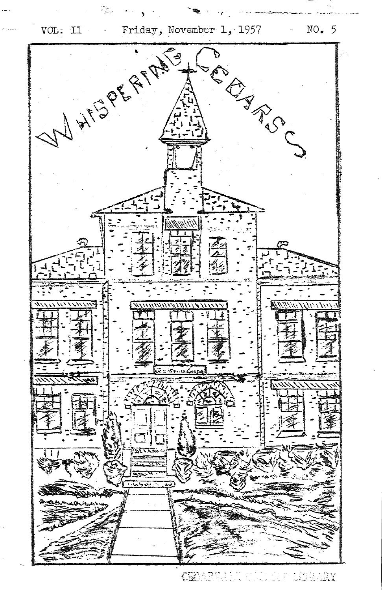

 $\mathbb{R} \rightarrow \mathbb{R}$ 

LERARY CEBARVELO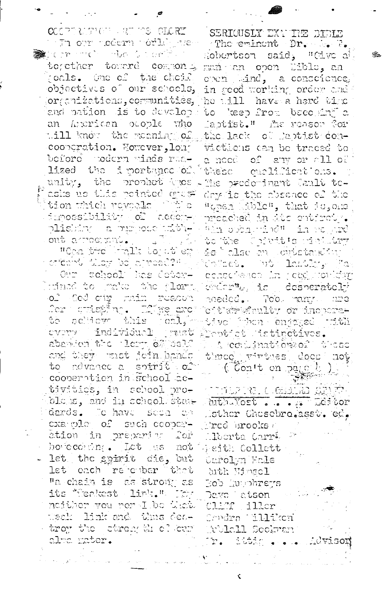COCPURATION AND TEACHERY i i Juliovri nečernih orla<sub>lis</sub>ke i Comme no confir

together towerd common poals. One of the choif objectives of our schools, organizations, cormunities, and nation dis to develope an Ancrican ocople who will know the morning of cooperation. However, lonboforo modern minds rualized the importance of unity, the prophet the asks us this pointed diss tion thich revools for the  $\sim$  imossibility of  $\sim$  accepts plishing a purpose mith-,  $\mathfrak{out}$  arroginal. "Cra tro ralls to the en crichini (Moy bo princed?") Our school has deterlufned to mefus the plarm of God our rain readou ica v striežijno. U Tijs<u>e a</u>rci to achieve this forl. cvery individual just Ceptici istinctives. abander the clear of self and they unst join hands to advance a spirit of cooperation in School activities, in school probloks, and in school state dards. Johave sepa on cxa ple of such cooperetion in preparing for hovecestry. Let as not - let the spirit die, but let each rejember that "a chain is as strong as its Meakest link. Der neither you nor I be thet. tteak dink and thus deatroy the ctrength of cur alma mater.

SERICUSLY EXAMPE BIBLE The eminent Dr. b. F. Robertson said, "Cive all man an open lible, an open land, a conscience. in good working order and he will have a hord the to keep from bacoking a Laptist." The reason for the lack of laptist convictions can be traced to a nood of any or all of these emplifications. His prodominant Jault todry is the researce of the "goes inble", that is, one preached in the entirety. ath sphartada in regard to the Cointt's rining ishbushahan me oble fab Volcet, Ath Landing Fa conscrence in regumenting choor". is desperately needed. Too namy une citates or incoretive Than energed with A condination of these three virtues does not Con't on page h <u>jidar wilo Gamb any</u>t duth. Yort ..... .. Thitor Sther Chosebro.asst. ed. Trod Brooks  $\epsilon$ Alberta Carri P Seith Collett Carolyn Fale Juth Nimsel Bob fluinhreys Davo l'atson Cliff iller Cardra Willikon Wolcll Scolman Tr. ittis Advisor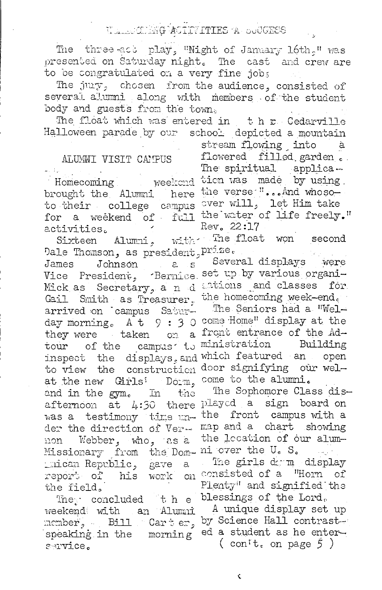### WALLOTING ACTIVITIES A SUCCESS

The three act play, "Night of January 16th." was presented on Saturday night. The cast and crew are to be congratulated on a very fine jobs

The juy, chosen from the audience, consisted of several alumni along with members of the student body and guests from the town.

The float which was entered in the Cedarville Halloween parade by our school depicted a mountain

### ALUMNI VISIT CAMPUS

Homecoming brought the Alumni here the verse "... And whoso-<br>to their college campus over will, let Him take for a weekend of full the water of life freely." activities.

Dale Thomson, as president Prize. Johnson James  $2.5$ Vice President, Bernice set up by various organi-Mick as Secretary, a n d Gail Smith as Treasurer. arrived on campus Saturday morning. At 9:30 come Home" display at the they were taken on a tour of the campus to ministration Building inspect the displays, and which featured an open to view the construction door signifying our welat the new Girls' Dorm. and in the gym. In the afternoon at  $L:$  30 there played a sign board on was a testimony time under the direction of Vernon Webber, who, as a Missionary from the Dom- ni over the U.S. mican Republic, gave a report of his work the field.

The concluded the weekend with an Alumni member, Bill Carter, speaking in the morning service.

stream flowing into à flowered filled garden. The spiritual applica weekend tich was made by using Rev. 22:17

Sixteen Alumni, with The float won second

> Several displays were ations and classes for the homecoming week-end.

> The Seniors had a "Welfront entrance of the Adcome to the alumni.

The Sophomore Class disthe front campus with a map and a chart showing the location of our alum-

The girls down display on consisted of a "Horn of Plenty" and signified the blessings of the Lord.

A unique display set up by Science Hall contrasted a student as he enter-(con't. on page  $\ddot{5}$ )

¢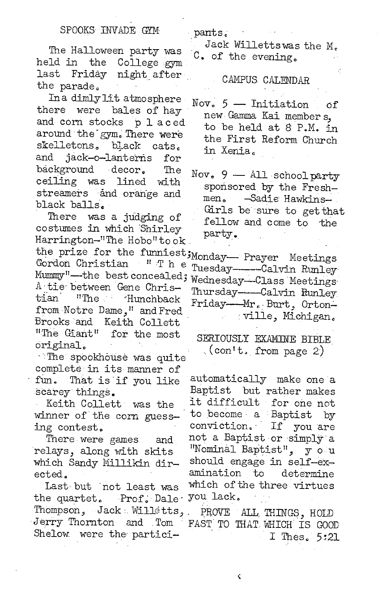The Halloween party was College gym held in the night after last Friday the parade.

Ina dimly lit atmosphere there were bales of hay and corn stocks placed around the gym. There were skelletons. black cats. jack-o-lanterns and for background decor. The ceiling was lined with streamers and orange and black balls.

There was a judging of costumes in which Shirley Harrington-"The Hobo"took. the prize for the funniest; Monday -- Prayer Meetings Gordon Christian "The Mummy"-the best concealed; Wednesday-Class Meetings A tie between Gene Christian "The Hunchback" from Notre Dame." and Fred Brooks and Keith Collett "The Giant" for the most original.

The spookhouse was quite complete in its manner of fun. That is if you like scarey things.

Keith Collett was the winner of the corn guessing contest.

There were games and relays, along with skits which Sandy Millikin directed.

Last but not least was Prof. Dale the quartet. Thompson, Jack Willetts, Jerry Thornton and Tom Shelow were the partici-

Jack Willettswas the M. C. of the evening.

pants.

CAMPUS CALENDAR

- $Now. 5 Intiation$ оf new Gamma Kai members. to be held at 8 P.M. in the First Reform Church in Xenia.
- Nov.  $9$  All school party sponsored by the Fresh--Sadie Hawkinsmen. Girls be sure to get that fellow and come to the party.

Tuesday----Calvin Runley Thursday-Calvin Runley Friday-Mr. Burt, Ortonville, Michigan.

SERIOUSLY EXAMINE BIBLE  $\left(\text{con}^{\dagger}$  from page 2)

automatically make one a Baptist but rather makes it difficult for one not to become a Baptist by conviction. If you are not a Baptist or simply a "Nominal Baptist", y o u should engage in self-examination  $\mathsf{t}_{\mathsf{c}}$ determine which of the three virtues you lack.

PROVE ALL THINGS, HOLD FAST TO THAT WHICH IS GOOD I Thes. 5:21

¢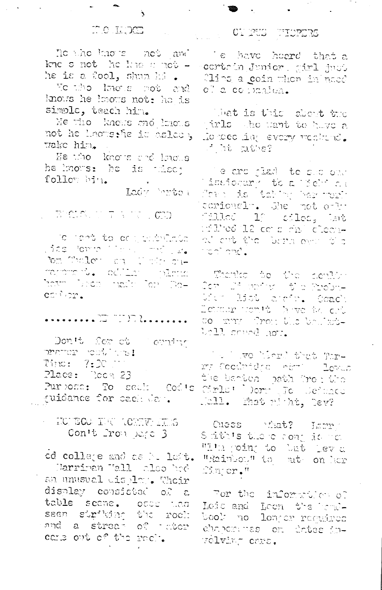$\Delta$ 

He the line is mobilized he is a fool, shun hi .

Volution lateries and knows he knows not: he is simple, teach him.

Me tho knows and knows not he hadwethe is delest, wake him.

He tho knows and knows he knows: he is whoch follow bin.

Lady brite

### $\mathcal{C} = \mathbb{E} \left[ \mathcal{C} \mathcal{C} \mathcal{C} \mathcal{C} \right] \quad \mathcal{C} = \mathbb{E} \left[ \mathcal{C} \mathcal{C} \mathcal{C} \right] \quad \mathcal{C} \mathcal{C} \mathcal{C} \mathcal{C} \mathcal{C} \quad \mathcal{C} \quad \mathcal{C} \mathcal{C} \mathcal{C} \mathcal{C} \quad \mathcal{C} \quad \mathcal{C} \quad \mathcal{C} \quad \mathcal{C} \quad \mathcal{C} \quad \mathcal{C} \quad \mathcal{C} \quad \mathcal{C} \quad \mathcal{C}$

To tens to or periodicion vice formalistical medium bin Waley and Catherine rarorant. editar habita have been nade for Do $cc^{-3}$  or  $\bullet$ 

Don't for ct comfor .<br>על היה למסיר יבטידתינה Time: 7:30 Place: Poon 23 Purpose: To sadi Cod's quidance for cach day.

### WE WE TOO THE ACREW IT IS Con't Provisege 3

ed college and as buildit. Marriman Wall also had an unusual display. Their display consisted of a table scene. occu tich seen siriking the rock book no longer requires cans out of the rech.

## 

 $-$  .

Te have heard that a kne s not he has a not - certain Junior, girl just Cling a coin when in need of a committed.

> What is this shout the pirls the want to have a To toco in every necture. int atte?

The arc glad to suc one Cinatogramy to a Chelena<br>Computation in Service:<br>coriously. She had obly Mark 19 Million, Land id Mod (12 cet porta) cleanal ort the bega over the inchi and ...

Thanks to the scribb-2om - 23 worf (n. 1810) Parobn–<br>Michill Babbilloner (n. 1900) Detroit you't have to colso may the Victorian son Well seved not.

The Live More that Tirry Coolridge new Loves the banbon math from the Cirls' borr To Sefunce Rall. That nicht, Dev?

Cuess that? Larre Sathis there conjute re-"I'm poing to but leve "Rainbou" to mt on her  $\mathbb{C}$ injor."

For the information of Lois and Loon the boulchancauss on dates invelving cars.